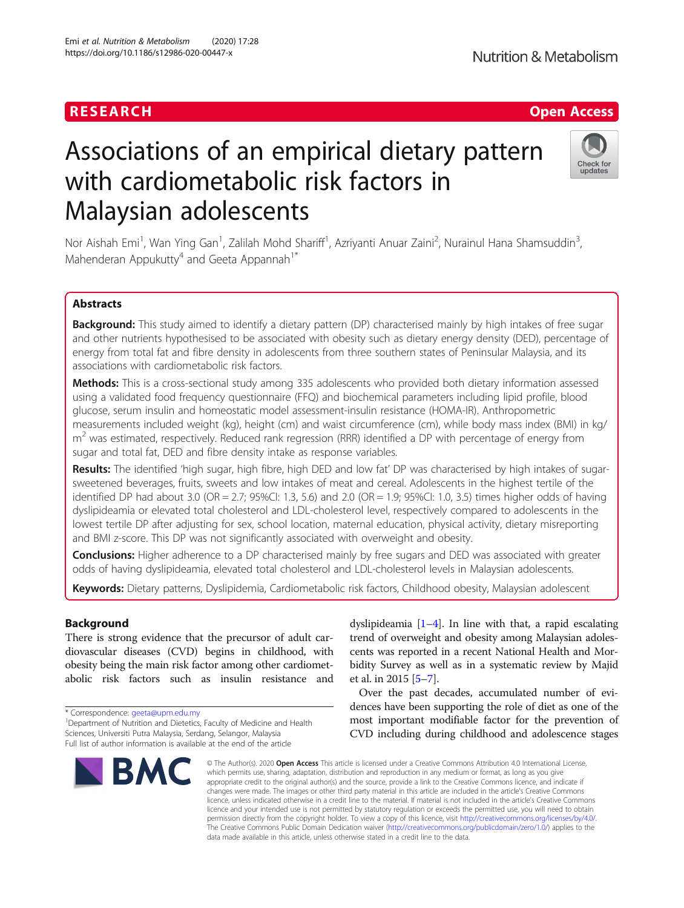# Associations of an empirical dietary pattern with cardiometabolic risk factors in Malaysian adolescents

Emi et al. Nutrition & Metabolism (2020) 17:28 https://doi.org/10.1186/s12986-020-00447-x

Nor Aishah Emi<sup>1</sup>, Wan Ying Gan<sup>1</sup>, Zalilah Mohd Shariff<sup>1</sup>, Azriyanti Anuar Zaini<sup>2</sup>, Nurainul Hana Shamsuddin<sup>3</sup> , Mahenderan Appukutty<sup>4</sup> and Geeta Appannah<sup>1\*</sup>

# Abstracts

Background: This study aimed to identify a dietary pattern (DP) characterised mainly by high intakes of free sugar and other nutrients hypothesised to be associated with obesity such as dietary energy density (DED), percentage of energy from total fat and fibre density in adolescents from three southern states of Peninsular Malaysia, and its associations with cardiometabolic risk factors.

Methods: This is a cross-sectional study among 335 adolescents who provided both dietary information assessed using a validated food frequency questionnaire (FFQ) and biochemical parameters including lipid profile, blood glucose, serum insulin and homeostatic model assessment-insulin resistance (HOMA-IR). Anthropometric measurements included weight (kg), height (cm) and waist circumference (cm), while body mass index (BMI) in kg/  $m<sup>2</sup>$  was estimated, respectively. Reduced rank regression (RRR) identified a DP with percentage of energy from sugar and total fat, DED and fibre density intake as response variables.

Results: The identified 'high sugar, high fibre, high DED and low fat' DP was characterised by high intakes of sugarsweetened beverages, fruits, sweets and low intakes of meat and cereal. Adolescents in the highest tertile of the identified DP had about 3.0 (OR = 2.7; 95%CI: 1.3, 5.6) and 2.0 (OR = 1.9; 95%CI: 1.0, 3.5) times higher odds of having dyslipideamia or elevated total cholesterol and LDL-cholesterol level, respectively compared to adolescents in the lowest tertile DP after adjusting for sex, school location, maternal education, physical activity, dietary misreporting and BMI z-score. This DP was not significantly associated with overweight and obesity.

**Conclusions:** Higher adherence to a DP characterised mainly by free sugars and DED was associated with greater odds of having dyslipideamia, elevated total cholesterol and LDL-cholesterol levels in Malaysian adolescents.

Keywords: Dietary patterns, Dyslipidemia, Cardiometabolic risk factors, Childhood obesity, Malaysian adolescent

# Background

There is strong evidence that the precursor of adult cardiovascular diseases (CVD) begins in childhood, with obesity being the main risk factor among other cardiometabolic risk factors such as insulin resistance and

\* Correspondence: [geeta@upm.edu.my](mailto:geeta@upm.edu.my) <sup>1</sup>

<sup>&</sup>lt;sup>1</sup> Department of Nutrition and Dietetics, Faculty of Medicine and Health Sciences, Universiti Putra Malaysia, Serdang, Selangor, Malaysia Full list of author information is available at the end of the article



dyslipideamia  $[1-4]$  $[1-4]$  $[1-4]$ . In line with that, a rapid escalating trend of overweight and obesity among Malaysian adolescents was reported in a recent National Health and Morbidity Survey as well as in a systematic review by Majid

© The Author(s), 2020 **Open Access** This article is licensed under a Creative Commons Attribution 4.0 International License, which permits use, sharing, adaptation, distribution and reproduction in any medium or format, as long as you give appropriate credit to the original author(s) and the source, provide a link to the Creative Commons licence, and indicate if changes were made. The images or other third party material in this article are included in the article's Creative Commons licence, unless indicated otherwise in a credit line to the material. If material is not included in the article's Creative Commons licence and your intended use is not permitted by statutory regulation or exceeds the permitted use, you will need to obtain permission directly from the copyright holder. To view a copy of this licence, visit [http://creativecommons.org/licenses/by/4.0/.](http://creativecommons.org/licenses/by/4.0/) The Creative Commons Public Domain Dedication waiver [\(http://creativecommons.org/publicdomain/zero/1.0/](http://creativecommons.org/publicdomain/zero/1.0/)) applies to the data made available in this article, unless otherwise stated in a credit line to the data.





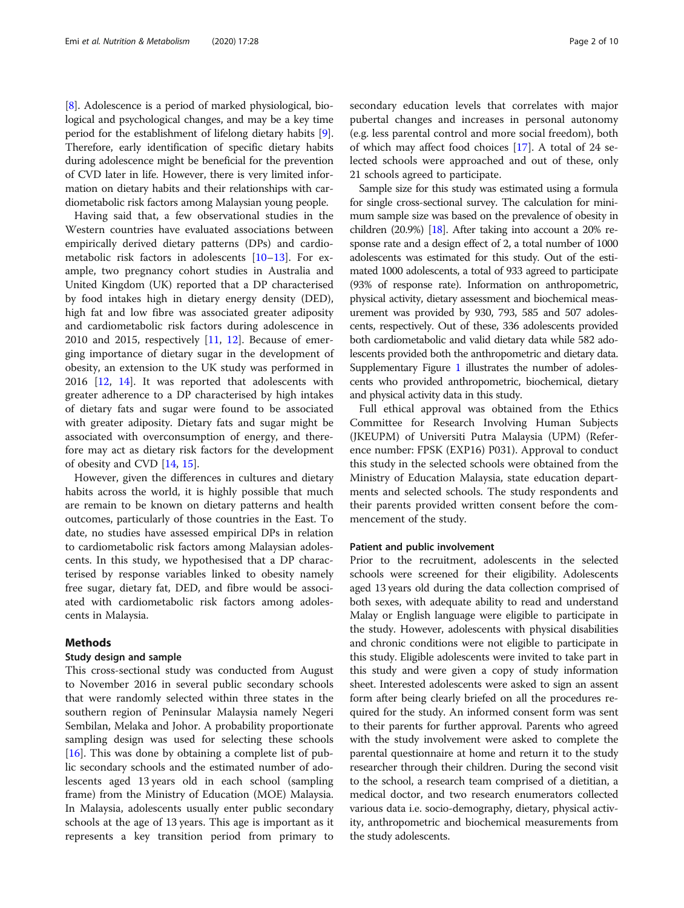[[8\]](#page-8-0). Adolescence is a period of marked physiological, biological and psychological changes, and may be a key time period for the establishment of lifelong dietary habits [[9](#page-8-0)]. Therefore, early identification of specific dietary habits during adolescence might be beneficial for the prevention of CVD later in life. However, there is very limited information on dietary habits and their relationships with cardiometabolic risk factors among Malaysian young people.

Having said that, a few observational studies in the Western countries have evaluated associations between empirically derived dietary patterns (DPs) and cardiometabolic risk factors in adolescents [[10](#page-8-0)–[13](#page-8-0)]. For example, two pregnancy cohort studies in Australia and United Kingdom (UK) reported that a DP characterised by food intakes high in dietary energy density (DED), high fat and low fibre was associated greater adiposity and cardiometabolic risk factors during adolescence in 2010 and 2015, respectively [\[11](#page-8-0), [12](#page-8-0)]. Because of emerging importance of dietary sugar in the development of obesity, an extension to the UK study was performed in 2016 [\[12](#page-8-0), [14](#page-8-0)]. It was reported that adolescents with greater adherence to a DP characterised by high intakes of dietary fats and sugar were found to be associated with greater adiposity. Dietary fats and sugar might be associated with overconsumption of energy, and therefore may act as dietary risk factors for the development of obesity and CVD [[14,](#page-8-0) [15](#page-8-0)].

However, given the differences in cultures and dietary habits across the world, it is highly possible that much are remain to be known on dietary patterns and health outcomes, particularly of those countries in the East. To date, no studies have assessed empirical DPs in relation to cardiometabolic risk factors among Malaysian adolescents. In this study, we hypothesised that a DP characterised by response variables linked to obesity namely free sugar, dietary fat, DED, and fibre would be associated with cardiometabolic risk factors among adolescents in Malaysia.

# Methods

# Study design and sample

This cross-sectional study was conducted from August to November 2016 in several public secondary schools that were randomly selected within three states in the southern region of Peninsular Malaysia namely Negeri Sembilan, Melaka and Johor. A probability proportionate sampling design was used for selecting these schools [[16\]](#page-8-0). This was done by obtaining a complete list of public secondary schools and the estimated number of adolescents aged 13 years old in each school (sampling frame) from the Ministry of Education (MOE) Malaysia. In Malaysia, adolescents usually enter public secondary schools at the age of 13 years. This age is important as it represents a key transition period from primary to secondary education levels that correlates with major pubertal changes and increases in personal autonomy (e.g. less parental control and more social freedom), both of which may affect food choices [[17\]](#page-8-0). A total of 24 selected schools were approached and out of these, only 21 schools agreed to participate.

Sample size for this study was estimated using a formula for single cross-sectional survey. The calculation for minimum sample size was based on the prevalence of obesity in children (20.9%) [\[18](#page-8-0)]. After taking into account a 20% response rate and a design effect of 2, a total number of 1000 adolescents was estimated for this study. Out of the estimated 1000 adolescents, a total of 933 agreed to participate (93% of response rate). Information on anthropometric, physical activity, dietary assessment and biochemical measurement was provided by 930, 793, 585 and 507 adolescents, respectively. Out of these, 336 adolescents provided both cardiometabolic and valid dietary data while 582 adolescents provided both the anthropometric and dietary data. Supplementary Figure [1](#page-7-0) illustrates the number of adolescents who provided anthropometric, biochemical, dietary and physical activity data in this study.

Full ethical approval was obtained from the Ethics Committee for Research Involving Human Subjects (JKEUPM) of Universiti Putra Malaysia (UPM) (Reference number: FPSK (EXP16) P031). Approval to conduct this study in the selected schools were obtained from the Ministry of Education Malaysia, state education departments and selected schools. The study respondents and their parents provided written consent before the commencement of the study.

#### Patient and public involvement

Prior to the recruitment, adolescents in the selected schools were screened for their eligibility. Adolescents aged 13 years old during the data collection comprised of both sexes, with adequate ability to read and understand Malay or English language were eligible to participate in the study. However, adolescents with physical disabilities and chronic conditions were not eligible to participate in this study. Eligible adolescents were invited to take part in this study and were given a copy of study information sheet. Interested adolescents were asked to sign an assent form after being clearly briefed on all the procedures required for the study. An informed consent form was sent to their parents for further approval. Parents who agreed with the study involvement were asked to complete the parental questionnaire at home and return it to the study researcher through their children. During the second visit to the school, a research team comprised of a dietitian, a medical doctor, and two research enumerators collected various data i.e. socio-demography, dietary, physical activity, anthropometric and biochemical measurements from the study adolescents.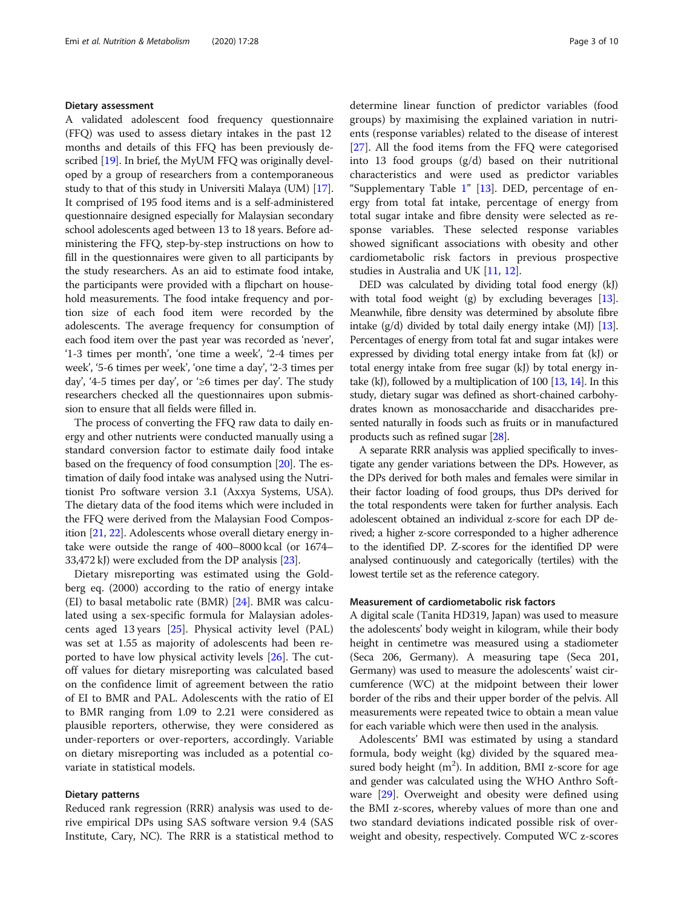#### Dietary assessment

A validated adolescent food frequency questionnaire (FFQ) was used to assess dietary intakes in the past 12 months and details of this FFQ has been previously described [[19\]](#page-8-0). In brief, the MyUM FFQ was originally developed by a group of researchers from a contemporaneous study to that of this study in Universiti Malaya (UM) [[17](#page-8-0)]. It comprised of 195 food items and is a self-administered questionnaire designed especially for Malaysian secondary school adolescents aged between 13 to 18 years. Before administering the FFQ, step-by-step instructions on how to fill in the questionnaires were given to all participants by the study researchers. As an aid to estimate food intake, the participants were provided with a flipchart on household measurements. The food intake frequency and portion size of each food item were recorded by the adolescents. The average frequency for consumption of each food item over the past year was recorded as 'never', '1-3 times per month', 'one time a week', '2-4 times per week', '5-6 times per week', 'one time a day', '2-3 times per day', '4-5 times per day', or '≥6 times per day'. The study researchers checked all the questionnaires upon submission to ensure that all fields were filled in.

The process of converting the FFQ raw data to daily energy and other nutrients were conducted manually using a standard conversion factor to estimate daily food intake based on the frequency of food consumption [[20](#page-8-0)]. The estimation of daily food intake was analysed using the Nutritionist Pro software version 3.1 (Axxya Systems, USA). The dietary data of the food items which were included in the FFQ were derived from the Malaysian Food Composition [[21](#page-8-0), [22\]](#page-8-0). Adolescents whose overall dietary energy intake were outside the range of 400–8000 kcal (or 1674– 33,472 kJ) were excluded from the DP analysis [\[23\]](#page-8-0).

Dietary misreporting was estimated using the Goldberg eq. (2000) according to the ratio of energy intake (EI) to basal metabolic rate (BMR) [\[24](#page-9-0)]. BMR was calculated using a sex-specific formula for Malaysian adolescents aged 13 years [[25](#page-9-0)]. Physical activity level (PAL) was set at 1.55 as majority of adolescents had been reported to have low physical activity levels [[26\]](#page-9-0). The cutoff values for dietary misreporting was calculated based on the confidence limit of agreement between the ratio of EI to BMR and PAL. Adolescents with the ratio of EI to BMR ranging from 1.09 to 2.21 were considered as plausible reporters, otherwise, they were considered as under-reporters or over-reporters, accordingly. Variable on dietary misreporting was included as a potential covariate in statistical models.

# Dietary patterns

Reduced rank regression (RRR) analysis was used to derive empirical DPs using SAS software version 9.4 (SAS Institute, Cary, NC). The RRR is a statistical method to determine linear function of predictor variables (food groups) by maximising the explained variation in nutrients (response variables) related to the disease of interest [[27\]](#page-9-0). All the food items from the FFQ were categorised into 13 food groups (g/d) based on their nutritional characteristics and were used as predictor variables "Supplementary Table [1](#page-7-0)" [[13\]](#page-8-0). DED, percentage of energy from total fat intake, percentage of energy from total sugar intake and fibre density were selected as response variables. These selected response variables showed significant associations with obesity and other cardiometabolic risk factors in previous prospective studies in Australia and UK [\[11](#page-8-0), [12](#page-8-0)].

DED was calculated by dividing total food energy (kJ) with total food weight (g) by excluding beverages [\[13](#page-8-0)]. Meanwhile, fibre density was determined by absolute fibre intake  $(g/d)$  divided by total daily energy intake  $(MJ)$  [\[13](#page-8-0)]. Percentages of energy from total fat and sugar intakes were expressed by dividing total energy intake from fat (kJ) or total energy intake from free sugar (kJ) by total energy intake (kJ), followed by a multiplication of 100  $[13, 14]$  $[13, 14]$  $[13, 14]$  $[13, 14]$ . In this study, dietary sugar was defined as short-chained carbohydrates known as monosaccharide and disaccharides presented naturally in foods such as fruits or in manufactured products such as refined sugar [\[28\]](#page-9-0).

A separate RRR analysis was applied specifically to investigate any gender variations between the DPs. However, as the DPs derived for both males and females were similar in their factor loading of food groups, thus DPs derived for the total respondents were taken for further analysis. Each adolescent obtained an individual z-score for each DP derived; a higher z-score corresponded to a higher adherence to the identified DP. Z-scores for the identified DP were analysed continuously and categorically (tertiles) with the lowest tertile set as the reference category.

# Measurement of cardiometabolic risk factors

A digital scale (Tanita HD319, Japan) was used to measure the adolescents' body weight in kilogram, while their body height in centimetre was measured using a stadiometer (Seca 206, Germany). A measuring tape (Seca 201, Germany) was used to measure the adolescents' waist circumference (WC) at the midpoint between their lower border of the ribs and their upper border of the pelvis. All measurements were repeated twice to obtain a mean value for each variable which were then used in the analysis.

Adolescents' BMI was estimated by using a standard formula, body weight (kg) divided by the squared measured body height  $(m^2)$ . In addition, BMI z-score for age and gender was calculated using the WHO Anthro Software [\[29\]](#page-9-0). Overweight and obesity were defined using the BMI z-scores, whereby values of more than one and two standard deviations indicated possible risk of overweight and obesity, respectively. Computed WC z-scores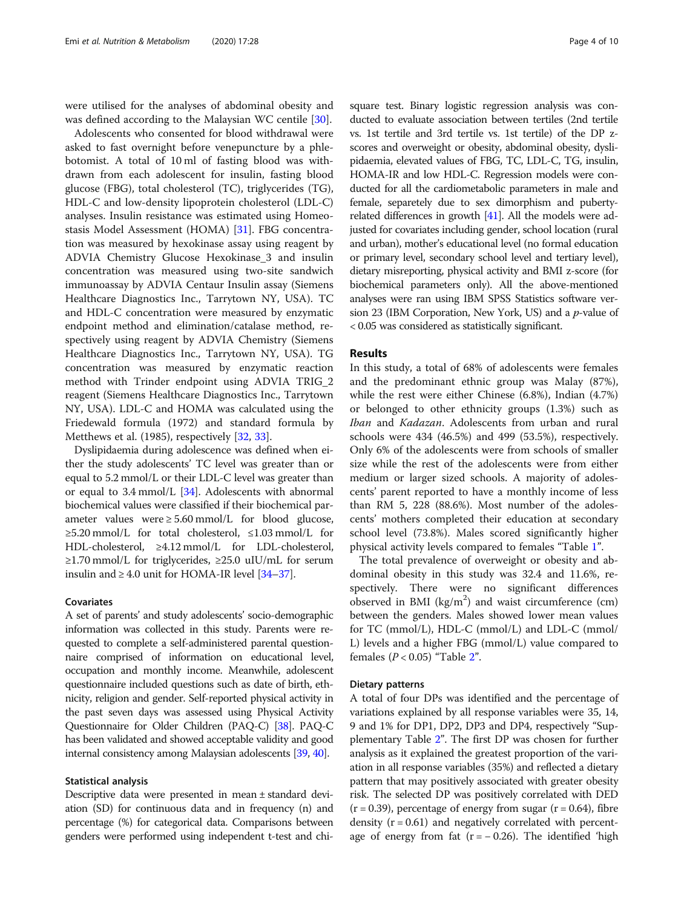were utilised for the analyses of abdominal obesity and was defined according to the Malaysian WC centile [[30\]](#page-9-0).

Adolescents who consented for blood withdrawal were asked to fast overnight before venepuncture by a phlebotomist. A total of 10 ml of fasting blood was withdrawn from each adolescent for insulin, fasting blood glucose (FBG), total cholesterol (TC), triglycerides (TG), HDL-C and low-density lipoprotein cholesterol (LDL-C) analyses. Insulin resistance was estimated using Homeostasis Model Assessment (HOMA) [\[31](#page-9-0)]. FBG concentration was measured by hexokinase assay using reagent by ADVIA Chemistry Glucose Hexokinase\_3 and insulin concentration was measured using two-site sandwich immunoassay by ADVIA Centaur Insulin assay (Siemens Healthcare Diagnostics Inc., Tarrytown NY, USA). TC and HDL-C concentration were measured by enzymatic endpoint method and elimination/catalase method, respectively using reagent by ADVIA Chemistry (Siemens Healthcare Diagnostics Inc., Tarrytown NY, USA). TG concentration was measured by enzymatic reaction method with Trinder endpoint using ADVIA TRIG\_2 reagent (Siemens Healthcare Diagnostics Inc., Tarrytown NY, USA). LDL-C and HOMA was calculated using the Friedewald formula (1972) and standard formula by Metthews et al. (1985), respectively [[32,](#page-9-0) [33\]](#page-9-0).

Dyslipidaemia during adolescence was defined when either the study adolescents' TC level was greater than or equal to 5.2 mmol/L or their LDL-C level was greater than or equal to 3.4 mmol/L [\[34\]](#page-9-0). Adolescents with abnormal biochemical values were classified if their biochemical parameter values were  $\geq 5.60$  mmol/L for blood glucose,  $\geq$ 5.20 mmol/L for total cholesterol,  $\leq$ 1.03 mmol/L for HDL-cholesterol, ≥4.12 mmol/L for LDL-cholesterol,  $\geq$ 1.70 mmol/L for triglycerides,  $\geq$ 25.0 uIU/mL for serum insulin and ≥ 4.0 unit for HOMA-IR level  $[34–37]$  $[34–37]$  $[34–37]$  $[34–37]$ .

# Covariates

A set of parents' and study adolescents' socio-demographic information was collected in this study. Parents were requested to complete a self-administered parental questionnaire comprised of information on educational level, occupation and monthly income. Meanwhile, adolescent questionnaire included questions such as date of birth, ethnicity, religion and gender. Self-reported physical activity in the past seven days was assessed using Physical Activity Questionnaire for Older Children (PAQ-C) [\[38](#page-9-0)]. PAQ-C has been validated and showed acceptable validity and good internal consistency among Malaysian adolescents [\[39,](#page-9-0) [40\]](#page-9-0).

# Statistical analysis

Descriptive data were presented in mean ± standard deviation (SD) for continuous data and in frequency (n) and percentage (%) for categorical data. Comparisons between genders were performed using independent t-test and chisquare test. Binary logistic regression analysis was conducted to evaluate association between tertiles (2nd tertile vs. 1st tertile and 3rd tertile vs. 1st tertile) of the DP zscores and overweight or obesity, abdominal obesity, dyslipidaemia, elevated values of FBG, TC, LDL-C, TG, insulin, HOMA-IR and low HDL-C. Regression models were conducted for all the cardiometabolic parameters in male and female, separetely due to sex dimorphism and pubertyrelated differences in growth [[41\]](#page-9-0). All the models were adjusted for covariates including gender, school location (rural and urban), mother's educational level (no formal education or primary level, secondary school level and tertiary level), dietary misreporting, physical activity and BMI z-score (for biochemical parameters only). All the above-mentioned analyses were ran using IBM SPSS Statistics software version 23 (IBM Corporation, New York, US) and a  $p$ -value of < 0.05 was considered as statistically significant.

# Results

In this study, a total of 68% of adolescents were females and the predominant ethnic group was Malay (87%), while the rest were either Chinese (6.8%), Indian (4.7%) or belonged to other ethnicity groups (1.3%) such as Iban and Kadazan. Adolescents from urban and rural schools were 434 (46.5%) and 499 (53.5%), respectively. Only 6% of the adolescents were from schools of smaller size while the rest of the adolescents were from either medium or larger sized schools. A majority of adolescents' parent reported to have a monthly income of less than RM 5, 228 (88.6%). Most number of the adolescents' mothers completed their education at secondary school level (73.8%). Males scored significantly higher physical activity levels compared to females "Table [1](#page-4-0)".

The total prevalence of overweight or obesity and abdominal obesity in this study was 32.4 and 11.6%, respectively. There were no significant differences observed in BMI ( $\text{kg/m}^2$ ) and waist circumference (cm) between the genders. Males showed lower mean values for TC (mmol/L), HDL-C (mmol/L) and LDL-C (mmol/ L) levels and a higher FBG (mmol/L) value compared to females  $(P < 0.05)$  "Table [2](#page-5-0)".

#### Dietary patterns

A total of four DPs was identified and the percentage of variations explained by all response variables were 35, 14, 9 and 1% for DP1, DP2, DP3 and DP4, respectively "Supplementary Table [2](#page-7-0)". The first DP was chosen for further analysis as it explained the greatest proportion of the variation in all response variables (35%) and reflected a dietary pattern that may positively associated with greater obesity risk. The selected DP was positively correlated with DED  $(r = 0.39)$ , percentage of energy from sugar  $(r = 0.64)$ , fibre density  $(r = 0.61)$  and negatively correlated with percentage of energy from fat  $(r = -0.26)$ . The identified 'high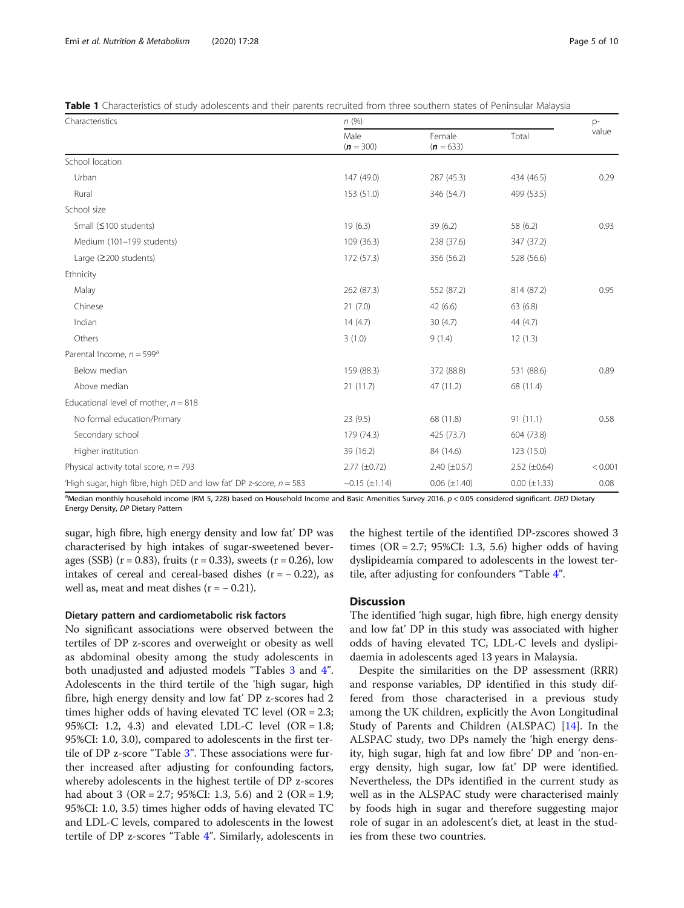<span id="page-4-0"></span>

|  |  |  |  |  | Table 1 Characteristics of study adolescents and their parents recruited from three southern states of Peninsular Malaysia |  |
|--|--|--|--|--|----------------------------------------------------------------------------------------------------------------------------|--|
|--|--|--|--|--|----------------------------------------------------------------------------------------------------------------------------|--|

| Characteristics                                                      | n(%)                  |                       |                     |         |  |
|----------------------------------------------------------------------|-----------------------|-----------------------|---------------------|---------|--|
|                                                                      | Male<br>$(n = 300)$   | Female<br>$(n = 633)$ | Total               | value   |  |
| School location                                                      |                       |                       |                     |         |  |
| Urban                                                                | 147 (49.0)            | 287 (45.3)            | 434 (46.5)          | 0.29    |  |
| Rural                                                                | 153 (51.0)            | 346 (54.7)            | 499 (53.5)          |         |  |
| School size                                                          |                       |                       |                     |         |  |
| Small (≤100 students)                                                | 19(6.3)               | 39(6.2)               | 58 (6.2)            | 0.93    |  |
| Medium (101-199 students)                                            | 109 (36.3)            | 238 (37.6)            | 347 (37.2)          |         |  |
| Large $(≥200$ students)                                              | 172 (57.3)            | 356 (56.2)            | 528 (56.6)          |         |  |
| Ethnicity                                                            |                       |                       |                     |         |  |
| Malay                                                                | 262 (87.3)            | 552 (87.2)            | 814 (87.2)          | 0.95    |  |
| Chinese                                                              | 21(7.0)               | 42(6.6)               | 63(6.8)             |         |  |
| Indian                                                               | 14(4.7)               | 30(4.7)               | 44 (4.7)            |         |  |
| Others                                                               | 3(1.0)                | 9(1.4)                | 12(1.3)             |         |  |
| Parental Income, $n = 599^a$                                         |                       |                       |                     |         |  |
| Below median                                                         | 159 (88.3)            | 372 (88.8)            | 531 (88.6)          | 0.89    |  |
| Above median                                                         | 21(11.7)              | 47 (11.2)             | 68 (11.4)           |         |  |
| Educational level of mother, $n = 818$                               |                       |                       |                     |         |  |
| No formal education/Primary                                          | 23(9.5)               | 68 (11.8)             | 91(11.1)            | 0.58    |  |
| Secondary school                                                     | 179 (74.3)            | 425 (73.7)            | 604 (73.8)          |         |  |
| Higher institution                                                   | 39 (16.2)             | 84 (14.6)             | 123 (15.0)          |         |  |
| Physical activity total score, $n = 793$                             | $2.77 (\pm 0.72)$     | $2.40 \ (\pm 0.57)$   | $2.52 \ (\pm 0.64)$ | < 0.001 |  |
| 'High sugar, high fibre, high DED and low fat' DP z-score, $n = 583$ | $-0.15$ ( $\pm$ 1.14) | $0.06 (\pm 1.40)$     | $0.00 \ (\pm 1.33)$ | 0.08    |  |

<sup>a</sup>Median monthly household income (RM 5, 228) based on Household Income and Basic Amenities Survey 2016. p < 0.05 considered significant. *DED* Dietary Energy Density, DP Dietary Pattern

sugar, high fibre, high energy density and low fat' DP was characterised by high intakes of sugar-sweetened beverages (SSB) ( $r = 0.83$ ), fruits ( $r = 0.33$ ), sweets ( $r = 0.26$ ), low intakes of cereal and cereal-based dishes  $(r = -0.22)$ , as well as, meat and meat dishes  $(r = -0.21)$ .

# Dietary pattern and cardiometabolic risk factors

No significant associations were observed between the tertiles of DP z-scores and overweight or obesity as well as abdominal obesity among the study adolescents in both unadjusted and adjusted models "Tables [3](#page-6-0) and [4](#page-6-0)". Adolescents in the third tertile of the 'high sugar, high fibre, high energy density and low fat' DP z-scores had 2 times higher odds of having elevated TC level (OR = 2.3; 95%CI: 1.2, 4.3) and elevated LDL-C level  $(OR = 1.8;$ 95%CI: 1.0, 3.0), compared to adolescents in the first tertile of DP z-score "Table [3](#page-6-0)". These associations were further increased after adjusting for confounding factors, whereby adolescents in the highest tertile of DP z-scores had about 3 (OR = 2.7; 95%CI: 1.3, 5.6) and 2 (OR = 1.9; 95%CI: 1.0, 3.5) times higher odds of having elevated TC and LDL-C levels, compared to adolescents in the lowest tertile of DP z-scores "Table [4](#page-6-0)". Similarly, adolescents in the highest tertile of the identified DP-zscores showed 3 times  $(OR = 2.7; 95\% CI: 1.3, 5.6)$  higher odds of having dyslipideamia compared to adolescents in the lowest tertile, after adjusting for confounders "Table [4](#page-6-0)".

# **Discussion**

The identified 'high sugar, high fibre, high energy density and low fat' DP in this study was associated with higher odds of having elevated TC, LDL-C levels and dyslipidaemia in adolescents aged 13 years in Malaysia.

Despite the similarities on the DP assessment (RRR) and response variables, DP identified in this study differed from those characterised in a previous study among the UK children, explicitly the Avon Longitudinal Study of Parents and Children (ALSPAC) [\[14](#page-8-0)]. In the ALSPAC study, two DPs namely the 'high energy density, high sugar, high fat and low fibre' DP and 'non-energy density, high sugar, low fat' DP were identified. Nevertheless, the DPs identified in the current study as well as in the ALSPAC study were characterised mainly by foods high in sugar and therefore suggesting major role of sugar in an adolescent's diet, at least in the studies from these two countries.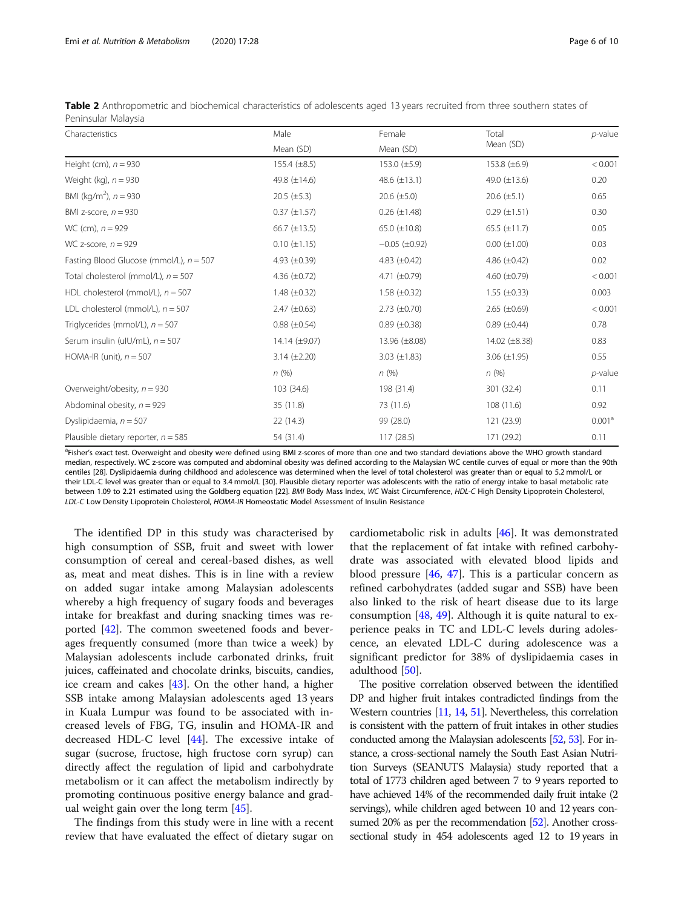| Characteristics                           | Male                | Female               | Total                 | $p$ -value         |
|-------------------------------------------|---------------------|----------------------|-----------------------|--------------------|
|                                           | Mean (SD)           | Mean (SD)            | Mean (SD)             |                    |
| Height (cm), $n = 930$                    | $155.4 \ (\pm 8.5)$ | 153.0 $(\pm 5.9)$    | 153.8 $(\pm 6.9)$     | < 0.001            |
| Weight (kg), $n = 930$                    | 49.8 (±14.6)        | 48.6 $(\pm 13.1)$    | 49.0 $(\pm 13.6)$     | 0.20               |
| BMI (kg/m <sup>2</sup> ), $n = 930$       | $20.5 \ (\pm 5.3)$  | $20.6 (\pm 5.0)$     | $20.6 \ (\pm 5.1)$    | 0.65               |
| BMI z-score, $n = 930$                    | $0.37 (\pm 1.57)$   | $0.26$ ( $\pm$ 1.48) | $0.29 \ (\pm 1.51)$   | 0.30               |
| $WC$ (cm), $n = 929$                      | 66.7 $(\pm 13.5)$   | 65.0 $(\pm 10.8)$    | 65.5 $(\pm 11.7)$     | 0.05               |
| WC z-score, $n = 929$                     | $0.10 \ (\pm 1.15)$ | $-0.05$ (±0.92)      | $0.00 \ (\pm 1.00)$   | 0.03               |
| Fasting Blood Glucose (mmol/L), $n = 507$ | 4.93 $(\pm 0.39)$   | 4.83 $(\pm 0.42)$    | 4.86 $(\pm 0.42)$     | 0.02               |
| Total cholesterol (mmol/L), $n = 507$     | 4.36 $(\pm 0.72)$   | 4.71 $(\pm 0.79)$    | 4.60 $(\pm 0.79)$     | < 0.001            |
| HDL cholesterol (mmol/L), $n = 507$       | 1.48 $(\pm 0.32)$   | $1.58 \ (\pm 0.32)$  | $1.55 \ (\pm 0.33)$   | 0.003              |
| LDL cholesterol (mmol/L), $n = 507$       | $2.47 (\pm 0.63)$   | $2.73 \ (\pm 0.70)$  | $2.65 \ (\pm 0.69)$   | < 0.001            |
| Triglycerides (mmol/L), $n = 507$         | $0.88 \ (\pm 0.54)$ | $0.89 \ (\pm 0.38)$  | $0.89$ ( $\pm 0.44$ ) | 0.78               |
| Serum insulin (ulU/mL), $n = 507$         | 14.14 (±9.07)       | 13.96 $(\pm 8.08)$   | 14.02 $(\pm 8.38)$    | 0.83               |
| HOMA-IR (unit), $n = 507$                 | $3.14 \ (\pm 2.20)$ | $3.03 \ (\pm 1.83)$  | $3.06 (\pm 1.95)$     | 0.55               |
|                                           | n(%)                | n(%)                 | n(%)                  | $p$ -value         |
| Overweight/obesity, $n = 930$             | 103 (34.6)          | 198 (31.4)           | 301 (32.4)            | 0.11               |
| Abdominal obesity, $n = 929$              | 35 (11.8)           | 73 (11.6)            | 108 (11.6)            | 0.92               |
| Dyslipidaemia, $n = 507$                  | 22(14.3)            | 99 (28.0)            | 121 (23.9)            | 0.001 <sup>a</sup> |
| Plausible dietary reporter, $n = 585$     | 54 (31.4)           | 117 (28.5)           | 171 (29.2)            | 0.11               |

<span id="page-5-0"></span>Table 2 Anthropometric and biochemical characteristics of adolescents aged 13 years recruited from three southern states of Peninsular Malaysia

<sup>a</sup>Fisher's exact test. Overweight and obesity were defined using BMI z-scores of more than one and two standard deviations above the WHO growth standard median, respectively. WC z-score was computed and abdominal obesity was defined according to the Malaysian WC centile curves of equal or more than the 90th centiles [28]. Dyslipidaemia during childhood and adolescence was determined when the level of total cholesterol was greater than or equal to 5.2 mmol/L or their LDL-C level was greater than or equal to 3.4 mmol/L [30]. Plausible dietary reporter was adolescents with the ratio of energy intake to basal metabolic rate between 1.09 to 2.21 estimated using the Goldberg equation [22]. BMI Body Mass Index, WC Waist Circumference, HDL-C High Density Lipoprotein Cholesterol, LDL-C Low Density Lipoprotein Cholesterol, HOMA-IR Homeostatic Model Assessment of Insulin Resistance

The identified DP in this study was characterised by high consumption of SSB, fruit and sweet with lower consumption of cereal and cereal-based dishes, as well as, meat and meat dishes. This is in line with a review on added sugar intake among Malaysian adolescents whereby a high frequency of sugary foods and beverages intake for breakfast and during snacking times was reported [\[42\]](#page-9-0). The common sweetened foods and beverages frequently consumed (more than twice a week) by Malaysian adolescents include carbonated drinks, fruit juices, caffeinated and chocolate drinks, biscuits, candies, ice cream and cakes [[43\]](#page-9-0). On the other hand, a higher SSB intake among Malaysian adolescents aged 13 years in Kuala Lumpur was found to be associated with increased levels of FBG, TG, insulin and HOMA-IR and decreased HDL-C level [\[44\]](#page-9-0). The excessive intake of sugar (sucrose, fructose, high fructose corn syrup) can directly affect the regulation of lipid and carbohydrate metabolism or it can affect the metabolism indirectly by promoting continuous positive energy balance and gradual weight gain over the long term [[45](#page-9-0)].

The findings from this study were in line with a recent review that have evaluated the effect of dietary sugar on cardiometabolic risk in adults [[46\]](#page-9-0). It was demonstrated that the replacement of fat intake with refined carbohydrate was associated with elevated blood lipids and blood pressure  $[46, 47]$  $[46, 47]$  $[46, 47]$  $[46, 47]$ . This is a particular concern as refined carbohydrates (added sugar and SSB) have been also linked to the risk of heart disease due to its large consumption [[48,](#page-9-0) [49\]](#page-9-0). Although it is quite natural to experience peaks in TC and LDL-C levels during adolescence, an elevated LDL-C during adolescence was a significant predictor for 38% of dyslipidaemia cases in adulthood [\[50](#page-9-0)].

The positive correlation observed between the identified DP and higher fruit intakes contradicted findings from the Western countries [[11,](#page-8-0) [14](#page-8-0), [51](#page-9-0)]. Nevertheless, this correlation is consistent with the pattern of fruit intakes in other studies conducted among the Malaysian adolescents [\[52,](#page-9-0) [53](#page-9-0)]. For instance, a cross-sectional namely the South East Asian Nutrition Surveys (SEANUTS Malaysia) study reported that a total of 1773 children aged between 7 to 9 years reported to have achieved 14% of the recommended daily fruit intake (2 servings), while children aged between 10 and 12 years con-sumed 20% as per the recommendation [\[52](#page-9-0)]. Another crosssectional study in 454 adolescents aged 12 to 19 years in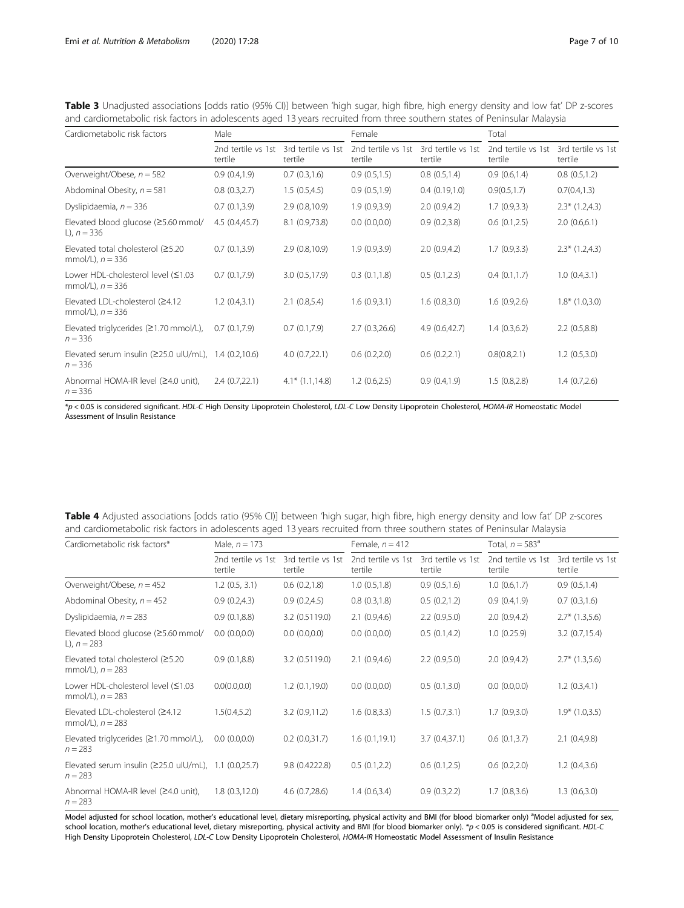<span id="page-6-0"></span>

| Table 3 Unadjusted associations [odds ratio (95% CI)] between 'high sugar, high fibre, high energy density and low fat' DP z-scores |
|-------------------------------------------------------------------------------------------------------------------------------------|
| and cardiometabolic risk factors in adolescents aged 13 years recruited from three southern states of Peninsular Malaysia           |

| Cardiometabolic risk factors                                              | Male                          |                               | Female                        |                               | Total                         |                               |
|---------------------------------------------------------------------------|-------------------------------|-------------------------------|-------------------------------|-------------------------------|-------------------------------|-------------------------------|
|                                                                           | 2nd tertile vs 1st<br>tertile | 3rd tertile vs 1st<br>tertile | 2nd tertile vs 1st<br>tertile | 3rd tertile vs 1st<br>tertile | 2nd tertile vs 1st<br>tertile | 3rd tertile vs 1st<br>tertile |
| Overweight/Obese, $n = 582$                                               | 0.9(0.4,1.9)                  | 0.7(0.3,1.6)                  | 0.9(0.5,1.5)                  | 0.8(0.5,1.4)                  | 0.9(0.6, 1.4)                 | 0.8(0.5,1.2)                  |
| Abdominal Obesity, $n = 581$                                              | 0.8(0.3, 2.7)                 | 1.5(0.5,4.5)                  | 0.9(0.5,1.9)                  | 0.4(0.19,1.0)                 | 0.9(0.5, 1.7)                 | 0.7(0.4, 1.3)                 |
| Dyslipidaemia, $n = 336$                                                  | 0.7(0.1,3.9)                  | 2.9(0.8,10.9)                 | 1.9(0.9,3.9)                  | 2.0(0.9,4.2)                  | 1.7(0.9,3.3)                  | $2.3*$ (1.2,4.3)              |
| Elevated blood glucose $(25.60 \text{ mmol})$<br>L), $n = 336$            | 4.5(0.4,45.7)                 | 8.1(0.9,73.8)                 | 0.0(0.0,0.0)                  | 0.9(0.2,3.8)                  | 0.6(0.1,2.5)                  | 2.0(0.6,6.1)                  |
| Elevated total cholesterol $(≥5.20$<br>mmol/L), $n = 336$                 | 0.7(0.1, 3.9)                 | 2.9(0.8,10.9)                 | 1.9(0.9,3.9)                  | 2.0(0.9,4.2)                  | 1.7(0.9,3.3)                  | $2.3*$ (1.2,4.3)              |
| Lower HDL-cholesterol level (≤1.03<br>mmol/L), $n = 336$                  | 0.7(0.1,7.9)                  | 3.0(0.5, 17.9)                | 0.3(0.1, 1.8)                 | 0.5(0.1,2.3)                  | 0.4(0.1,1.7)                  | 1.0(0.4,3.1)                  |
| Elevated LDL-cholesterol (≥4.12<br>mmol/L), $n = 336$                     | 1.2(0.4,3.1)                  | 2.1(0.8,5.4)                  | 1.6(0.9,3.1)                  | 1.6(0.8,3.0)                  | 1.6(0.9,2.6)                  | $1.8*$ (1.0,3.0)              |
| Elevated triglycerides (≥1.70 mmol/L),<br>$n = 336$                       | 0.7(0.1,7.9)                  | 0.7(0.1,7.9)                  | 2.7(0.3,26.6)                 | 4.9(0.6,42.7)                 | 1.4(0.3,6.2)                  | 2.2(0.5,8.8)                  |
| Elevated serum insulin ( $\geq$ 25.0 ulU/mL), 1.4 (0.2,10.6)<br>$n = 336$ |                               | 4.0(0.7,22.1)                 | 0.6(0.2,2.0)                  | 0.6(0.2,2.1)                  | 0.8(0.8, 2.1)                 | 1.2(0.5,3.0)                  |
| Abnormal HOMA-IR level (≥4.0 unit),<br>$n = 336$                          | 2.4(0.7,22.1)                 | $4.1*$ (1.1,14.8)             | 1.2(0.6, 2.5)                 | 0.9(0.4,1.9)                  | 1.5(0.8, 2.8)                 | 1.4(0.7,2.6)                  |

 $*p$  < 0.05 is considered significant. HDL-C High Density Lipoprotein Cholesterol, LDL-C Low Density Lipoprotein Cholesterol, HOMA-IR Homeostatic Model Assessment of Insulin Resistance

| Table 4 Adjusted associations [odds ratio (95% CI)] between 'high sugar, high fibre, high energy density and low fat' DP z-scores |
|-----------------------------------------------------------------------------------------------------------------------------------|
| and cardiometabolic risk factors in adolescents aged 13 years recruited from three southern states of Peninsular Malaysia         |

| Cardiometabolic risk factors*                                             | Male, $n = 173$               |                               | Female, $n = 412$             |                               | Total, $n = 583^{\circ}$      |                               |
|---------------------------------------------------------------------------|-------------------------------|-------------------------------|-------------------------------|-------------------------------|-------------------------------|-------------------------------|
|                                                                           | 2nd tertile vs 1st<br>tertile | 3rd tertile vs 1st<br>tertile | 2nd tertile vs 1st<br>tertile | 3rd tertile vs 1st<br>tertile | 2nd tertile vs 1st<br>tertile | 3rd tertile vs 1st<br>tertile |
| Overweight/Obese, $n = 452$                                               | 1.2(0.5, 3.1)                 | 0.6(0.2,1.8)                  | 1.0(0.5, 1.8)                 | 0.9(0.5,1.6)                  | 1.0(0.6, 1.7)                 | 0.9(0.5, 1.4)                 |
| Abdominal Obesity, $n = 452$                                              | 0.9(0.2,4.3)                  | 0.9(0.2,4.5)                  | 0.8(0.3, 1.8)                 | 0.5(0.2,1.2)                  | 0.9(0.4,1.9)                  | 0.7(0.3,1.6)                  |
| Dyslipidaemia, $n = 283$                                                  | 0.9(0.1,8.8)                  | 3.2 (0.5119.0)                | 2.1(0.9,4.6)                  | 2.2(0.9,5.0)                  | 2.0(0.9,4.2)                  | $2.7*$ (1.3,5.6)              |
| Elevated blood glucose (≥5.60 mmol/<br>L), $n = 283$                      | 0.0(0.0,0.0)                  | 0.0(0.0,0.0)                  | 0.0(0.0,0.0)                  | 0.5(0.1,4.2)                  | 1.0(0.25.9)                   | 3.2(0.7,15.4)                 |
| Elevated total cholesterol $(≥5.20$<br>mmol/L), $n = 283$                 | 0.9(0.1, 8.8)                 | 3.2 (0.5119.0)                | 2.1(0.9,4.6)                  | 2.2(0.9,5.0)                  | 2.0(0.9,4.2)                  | $2.7*$ (1.3,5.6)              |
| Lower HDL-cholesterol level (≤1.03<br>mmol/L), $n = 283$                  | 0.0(0.0,0.0)                  | 1.2(0.1,19.0)                 | 0.0(0.0,0.0)                  | 0.5(0.1,3.0)                  | 0.0(0.0,0.0)                  | 1.2(0.3,4.1)                  |
| Elevated LDL-cholesterol (≥4.12<br>mmol/L), $n = 283$                     | 1.5(0.4, 5.2)                 | 3.2(0.9, 11.2)                | 1.6(0.8, 3.3)                 | 1.5(0.7,3.1)                  | 1.7(0.9,3.0)                  | $1.9*$ (1.0,3.5)              |
| Elevated triglycerides $(≥1.70$ mmol/L),<br>$n = 283$                     | 0.0(0.0,0.0)                  | $0.2$ (0.0,31.7)              | 1.6(0.1, 19.1)                | 3.7(0.4,37.1)                 | 0.6(0.1,3.7)                  | 2.1(0.4,9.8)                  |
| Elevated serum insulin ( $\geq$ 25.0 ulU/mL), 1.1 (0.0,25.7)<br>$n = 283$ |                               | 9.8 (0.4222.8)                | 0.5(0.1, 2.2)                 | 0.6(0.1,2.5)                  | 0.6(0.2,2.0)                  | 1.2(0.4, 3.6)                 |
| Abnormal HOMA-IR level (≥4.0 unit),<br>$n = 283$                          | 1.8(0.3, 12.0)                | 4.6(0.7,28.6)                 | 1.4(0.6, 3.4)                 | 0.9(0.3,2.2)                  | 1.7(0.8, 3.6)                 | 1.3(0.6, 3.0)                 |

Model adjusted for school location, mother's educational level, dietary misreporting, physical activity and BMI (for blood biomarker only) <sup>a</sup>Model adjusted for sex, school location, mother's educational level, dietary misreporting, physical activity and BMI (for blood biomarker only). \*p < 0.05 is considered significant. HDL-C High Density Lipoprotein Cholesterol, LDL-C Low Density Lipoprotein Cholesterol, HOMA-IR Homeostatic Model Assessment of Insulin Resistance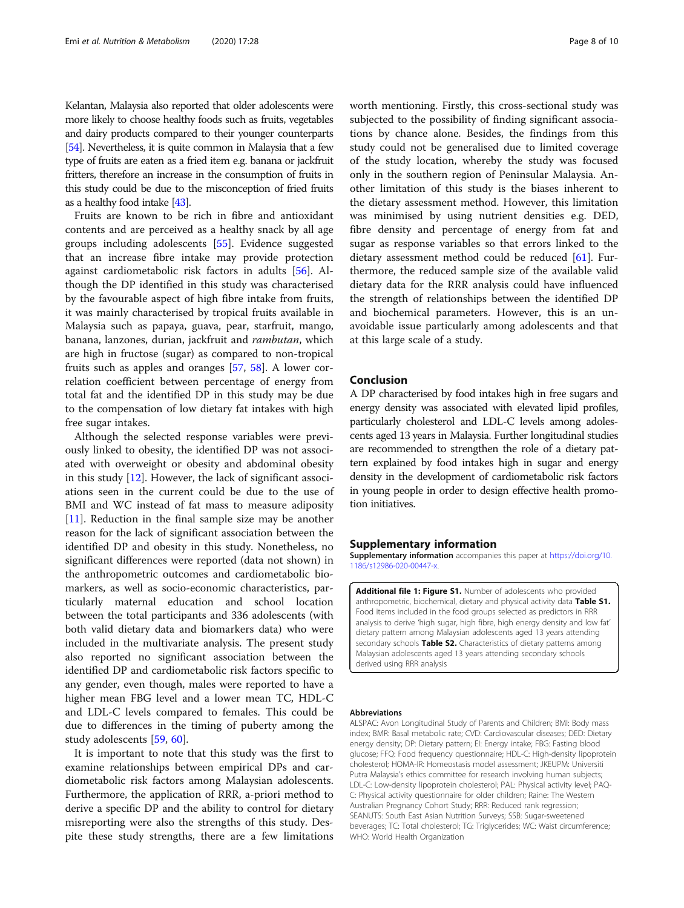<span id="page-7-0"></span>Kelantan, Malaysia also reported that older adolescents were more likely to choose healthy foods such as fruits, vegetables and dairy products compared to their younger counterparts [[54\]](#page-9-0). Nevertheless, it is quite common in Malaysia that a few type of fruits are eaten as a fried item e.g. banana or jackfruit fritters, therefore an increase in the consumption of fruits in this study could be due to the misconception of fried fruits as a healthy food intake [\[43\]](#page-9-0).

Fruits are known to be rich in fibre and antioxidant contents and are perceived as a healthy snack by all age groups including adolescents [[55\]](#page-9-0). Evidence suggested that an increase fibre intake may provide protection against cardiometabolic risk factors in adults [\[56](#page-9-0)]. Although the DP identified in this study was characterised by the favourable aspect of high fibre intake from fruits, it was mainly characterised by tropical fruits available in Malaysia such as papaya, guava, pear, starfruit, mango, banana, lanzones, durian, jackfruit and rambutan, which are high in fructose (sugar) as compared to non-tropical fruits such as apples and oranges [\[57](#page-9-0), [58\]](#page-9-0). A lower correlation coefficient between percentage of energy from total fat and the identified DP in this study may be due to the compensation of low dietary fat intakes with high free sugar intakes.

Although the selected response variables were previously linked to obesity, the identified DP was not associated with overweight or obesity and abdominal obesity in this study [\[12\]](#page-8-0). However, the lack of significant associations seen in the current could be due to the use of BMI and WC instead of fat mass to measure adiposity [[11\]](#page-8-0). Reduction in the final sample size may be another reason for the lack of significant association between the identified DP and obesity in this study. Nonetheless, no significant differences were reported (data not shown) in the anthropometric outcomes and cardiometabolic biomarkers, as well as socio-economic characteristics, particularly maternal education and school location between the total participants and 336 adolescents (with both valid dietary data and biomarkers data) who were included in the multivariate analysis. The present study also reported no significant association between the identified DP and cardiometabolic risk factors specific to any gender, even though, males were reported to have a higher mean FBG level and a lower mean TC, HDL-C and LDL-C levels compared to females. This could be due to differences in the timing of puberty among the study adolescents [\[59](#page-9-0), [60\]](#page-9-0).

It is important to note that this study was the first to examine relationships between empirical DPs and cardiometabolic risk factors among Malaysian adolescents. Furthermore, the application of RRR, a-priori method to derive a specific DP and the ability to control for dietary misreporting were also the strengths of this study. Despite these study strengths, there are a few limitations worth mentioning. Firstly, this cross-sectional study was subjected to the possibility of finding significant associations by chance alone. Besides, the findings from this study could not be generalised due to limited coverage of the study location, whereby the study was focused only in the southern region of Peninsular Malaysia. Another limitation of this study is the biases inherent to the dietary assessment method. However, this limitation was minimised by using nutrient densities e.g. DED, fibre density and percentage of energy from fat and sugar as response variables so that errors linked to the dietary assessment method could be reduced [[61](#page-9-0)]. Furthermore, the reduced sample size of the available valid dietary data for the RRR analysis could have influenced the strength of relationships between the identified DP and biochemical parameters. However, this is an unavoidable issue particularly among adolescents and that at this large scale of a study.

# Conclusion

A DP characterised by food intakes high in free sugars and energy density was associated with elevated lipid profiles, particularly cholesterol and LDL-C levels among adolescents aged 13 years in Malaysia. Further longitudinal studies are recommended to strengthen the role of a dietary pattern explained by food intakes high in sugar and energy density in the development of cardiometabolic risk factors in young people in order to design effective health promotion initiatives.

#### Supplementary information

Supplementary information accompanies this paper at [https://doi.org/10.](https://doi.org/10.1186/s12986-020-00447-x) [1186/s12986-020-00447-x.](https://doi.org/10.1186/s12986-020-00447-x)

Additional file 1: Figure S1. Number of adolescents who provided anthropometric, biochemical, dietary and physical activity data Table S1. Food items included in the food groups selected as predictors in RRR analysis to derive 'high sugar, high fibre, high energy density and low fat' dietary pattern among Malaysian adolescents aged 13 years attending secondary schools Table S2. Characteristics of dietary patterns among Malaysian adolescents aged 13 years attending secondary schools derived using RRR analysis

#### Abbreviations

ALSPAC: Avon Longitudinal Study of Parents and Children; BMI: Body mass index; BMR: Basal metabolic rate; CVD: Cardiovascular diseases; DED: Dietary energy density; DP: Dietary pattern; EI: Energy intake; FBG: Fasting blood glucose; FFQ: Food frequency questionnaire; HDL-C: High-density lipoprotein cholesterol; HOMA-IR: Homeostasis model assessment; JKEUPM: Universiti Putra Malaysia's ethics committee for research involving human subjects; LDL-C: Low-density lipoprotein cholesterol; PAL: Physical activity level; PAQ-C: Physical activity questionnaire for older children; Raine: The Western Australian Pregnancy Cohort Study; RRR: Reduced rank regression; SEANUTS: South East Asian Nutrition Surveys; SSB: Sugar-sweetened beverages; TC: Total cholesterol; TG: Triglycerides; WC: Waist circumference; WHO: World Health Organization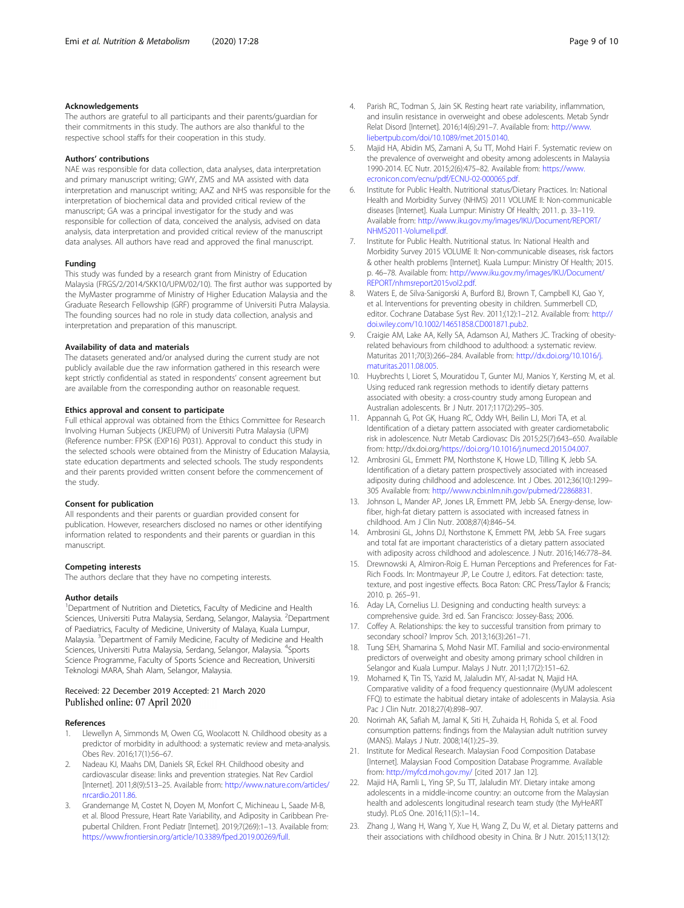#### <span id="page-8-0"></span>Acknowledgements

The authors are grateful to all participants and their parents/guardian for their commitments in this study. The authors are also thankful to the respective school staffs for their cooperation in this study.

#### Authors' contributions

NAE was responsible for data collection, data analyses, data interpretation and primary manuscript writing; GWY, ZMS and MA assisted with data interpretation and manuscript writing; AAZ and NHS was responsible for the interpretation of biochemical data and provided critical review of the manuscript; GA was a principal investigator for the study and was responsible for collection of data, conceived the analysis, advised on data analysis, data interpretation and provided critical review of the manuscript data analyses. All authors have read and approved the final manuscript.

#### Funding

This study was funded by a research grant from Ministry of Education Malaysia (FRGS/2/2014/SKK10/UPM/02/10). The first author was supported by the MyMaster programme of Ministry of Higher Education Malaysia and the Graduate Research Fellowship (GRF) programme of Universiti Putra Malaysia. The founding sources had no role in study data collection, analysis and interpretation and preparation of this manuscript.

#### Availability of data and materials

The datasets generated and/or analysed during the current study are not publicly available due the raw information gathered in this research were kept strictly confidential as stated in respondents' consent agreement but are available from the corresponding author on reasonable request.

#### Ethics approval and consent to participate

Full ethical approval was obtained from the Ethics Committee for Research Involving Human Subjects (JKEUPM) of Universiti Putra Malaysia (UPM) (Reference number: FPSK (EXP16) P031). Approval to conduct this study in the selected schools were obtained from the Ministry of Education Malaysia, state education departments and selected schools. The study respondents and their parents provided written consent before the commencement of the study.

#### Consent for publication

All respondents and their parents or guardian provided consent for publication. However, researchers disclosed no names or other identifying information related to respondents and their parents or guardian in this manuscript.

#### Competing interests

The authors declare that they have no competing interests.

#### Author details

<sup>1</sup>Department of Nutrition and Dietetics, Faculty of Medicine and Health Sciences, Universiti Putra Malaysia, Serdang, Selangor, Malaysia. <sup>2</sup>Department of Paediatrics, Faculty of Medicine, University of Malaya, Kuala Lumpur, Malaysia. <sup>3</sup>Department of Family Medicine, Faculty of Medicine and Health Sciences, Universiti Putra Malaysia, Serdang, Selangor, Malaysia. <sup>4</sup>Sports Science Programme, Faculty of Sports Science and Recreation, Universiti Teknologi MARA, Shah Alam, Selangor, Malaysia.

# Received: 22 December 2019 Accepted: 21 March 2020 Published online: 07 April 2020

#### References

- 1. Llewellyn A, Simmonds M, Owen CG, Woolacott N. Childhood obesity as a predictor of morbidity in adulthood: a systematic review and meta-analysis. Obes Rev. 2016;17(1):56–67.
- 2. Nadeau KJ, Maahs DM, Daniels SR, Eckel RH. Childhood obesity and cardiovascular disease: links and prevention strategies. Nat Rev Cardiol [Internet]. 2011;8(9):513–25. Available from: [http://www.nature.com/articles/](http://www.nature.com/articles/nrcardio.2011.86) [nrcardio.2011.86.](http://www.nature.com/articles/nrcardio.2011.86)
- Grandemange M, Costet N, Doyen M, Monfort C, Michineau L, Saade M-B, et al. Blood Pressure, Heart Rate Variability, and Adiposity in Caribbean Prepubertal Children. Front Pediatr [Internet]. 2019;7(269):1–13. Available from: <https://www.frontiersin.org/article/10.3389/fped.2019.00269/full>.
- 4. Parish RC, Todman S, Jain SK. Resting heart rate variability, inflammation, and insulin resistance in overweight and obese adolescents. Metab Syndr Relat Disord [Internet]. 2016;14(6):291–7. Available from: [http://www.](http://www.liebertpub.com/doi/10.1089/met.2015.0140) [liebertpub.com/doi/10.1089/met.2015.0140](http://www.liebertpub.com/doi/10.1089/met.2015.0140).
- 5. Majid HA, Abidin MS, Zamani A, Su TT, Mohd Hairi F. Systematic review on the prevalence of overweight and obesity among adolescents in Malaysia 1990-2014. EC Nutr. 2015;2(6):475–82. Available from: [https://www.](https://www.ecronicon.com/ecnu/pdf/ECNU-02-000065.pdf) [ecronicon.com/ecnu/pdf/ECNU-02-000065.pdf](https://www.ecronicon.com/ecnu/pdf/ECNU-02-000065.pdf).
- 6. Institute for Public Health. Nutritional status/Dietary Practices. In: National Health and Morbidity Survey (NHMS) 2011 VOLUME II: Non-communicable diseases [Internet]. Kuala Lumpur: Ministry Of Health; 2011. p. 33–119. Available from: [http://www.iku.gov.my/images/IKU/Document/REPORT/](http://www.iku.gov.my/images/IKU/Document/REPORT/NHMS2011-VolumeII.pdf) [NHMS2011-VolumeII.pdf.](http://www.iku.gov.my/images/IKU/Document/REPORT/NHMS2011-VolumeII.pdf)
- 7. Institute for Public Health. Nutritional status. In: National Health and Morbidity Survey 2015 VOLUME II: Non-communicable diseases, risk factors & other health problems [Internet]. Kuala Lumpur: Ministry Of Health; 2015. p. 46–78. Available from: [http://www.iku.gov.my/images/IKU/Document/](http://www.iku.gov.my/images/IKU/Document/REPORT/nhmsreport2015vol2.pdf) [REPORT/nhmsreport2015vol2.pdf.](http://www.iku.gov.my/images/IKU/Document/REPORT/nhmsreport2015vol2.pdf)
- 8. Waters E, de Silva-Sanigorski A, Burford BJ, Brown T, Campbell KJ, Gao Y, et al. Interventions for preventing obesity in children. Summerbell CD, editor. Cochrane Database Syst Rev. 2011;(12):1–212. Available from: [http://](http://doi.wiley.com/10.1002/14651858.CD001871.pub2) [doi.wiley.com/10.1002/14651858.CD001871.pub2.](http://doi.wiley.com/10.1002/14651858.CD001871.pub2)
- 9. Craigie AM, Lake AA, Kelly SA, Adamson AJ, Mathers JC. Tracking of obesityrelated behaviours from childhood to adulthood: a systematic review. Maturitas 2011;70(3):266–284. Available from: [http://dx.doi.org/10.1016/j.](http://dx.doi.org/10.1016/j.maturitas.2011.08.005) [maturitas.2011.08.005](http://dx.doi.org/10.1016/j.maturitas.2011.08.005).
- 10. Huybrechts I, Lioret S, Mouratidou T, Gunter MJ, Manios Y, Kersting M, et al. Using reduced rank regression methods to identify dietary patterns associated with obesity: a cross-country study among European and Australian adolescents. Br J Nutr. 2017;117(2):295–305.
- 11. Appannah G, Pot GK, Huang RC, Oddy WH, Beilin LJ, Mori TA, et al. Identification of a dietary pattern associated with greater cardiometabolic risk in adolescence. Nutr Metab Cardiovasc Dis 2015;25(7):643–650. Available from: http://dx.doi.org[/https://doi.org/10.1016/j.numecd.2015.04.007.](https://doi.org/10.1016/j.numecd.2015.04.007)
- 12. Ambrosini GL, Emmett PM, Northstone K, Howe LD, Tilling K, Jebb SA. Identification of a dietary pattern prospectively associated with increased adiposity during childhood and adolescence. Int J Obes. 2012;36(10):1299– 305 Available from: <http://www.ncbi.nlm.nih.gov/pubmed/22868831>.
- 13. Johnson L, Mander AP, Jones LR, Emmett PM, Jebb SA. Energy-dense, lowfiber, high-fat dietary pattern is associated with increased fatness in childhood. Am J Clin Nutr. 2008;87(4):846–54.
- 14. Ambrosini GL, Johns DJ, Northstone K, Emmett PM, Jebb SA. Free sugars and total fat are important characteristics of a dietary pattern associated with adiposity across childhood and adolescence. J Nutr. 2016;146:778–84.
- 15. Drewnowski A, Almiron-Roig E. Human Perceptions and Preferences for Fat-Rich Foods. In: Montmayeur JP, Le Coutre J, editors. Fat detection: taste, texture, and post ingestive effects. Boca Raton: CRC Press/Taylor & Francis; 2010. p. 265–91.
- 16. Aday LA, Cornelius LJ. Designing and conducting health surveys: a comprehensive guide. 3rd ed. San Francisco: Jossey-Bass; 2006.
- 17. Coffey A. Relationships: the key to successful transition from primary to secondary school? Improv Sch. 2013;16(3):261–71.
- 18. Tung SEH, Shamarina S, Mohd Nasir MT. Familial and socio-environmental predictors of overweight and obesity among primary school children in Selangor and Kuala Lumpur. Malays J Nutr. 2011;17(2):151–62.
- 19. Mohamed K, Tin TS, Yazid M, Jalaludin MY, Al-sadat N, Majid HA. Comparative validity of a food frequency questionnaire (MyUM adolescent FFQ) to estimate the habitual dietary intake of adolescents in Malaysia. Asia Pac J Clin Nutr. 2018;27(4):898–907.
- 20. Norimah AK, Safiah M, Jamal K, Siti H, Zuhaida H, Rohida S, et al. Food consumption patterns: findings from the Malaysian adult nutrition survey (MANS). Malays J Nutr. 2008;14(1):25–39.
- 21. Institute for Medical Research. Malaysian Food Composition Database [Internet]. Malaysian Food Composition Database Programme. Available from: <http://myfcd.moh.gov.my/> [cited 2017 Jan 12].
- 22. Majid HA, Ramli L, Ying SP, Su TT, Jalaludin MY. Dietary intake among adolescents in a middle-income country: an outcome from the Malaysian health and adolescents longitudinal research team study (the MyHeART study). PLoS One. 2016;11(5):1–14..
- 23. Zhang J, Wang H, Wang Y, Xue H, Wang Z, Du W, et al. Dietary patterns and their associations with childhood obesity in China. Br J Nutr. 2015;113(12):